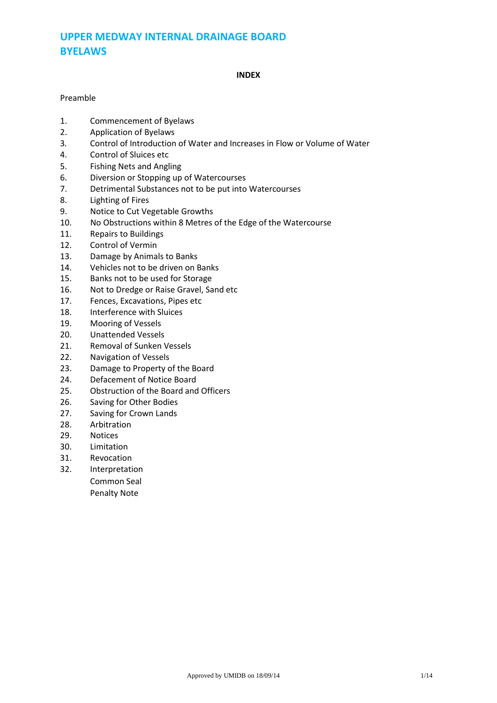# **UPPER MEDWAY INTERNAL DRAINAGE BOARD BYELAWS**

#### **INDEX**

### Preamble

- 1. Commencement of Byelaws<br>2. Application of Byelaws
- 2. Application of Byelaws
- 3*.* Control of Introduction of Water and Increases in Flow or Volume of Water
- 4. Control of Sluices etc
- 5. Fishing Nets and Angling
- 6. Diversion or Stopping up of Watercourses
- 7. Detrimental Substances not to be put into Watercourses
- 8. Lighting of Fires
- 9. Notice to Cut Vegetable Growths
- 10. No Obstructions within 8 Metres of the Edge of the Watercourse
- 11. Repairs to Buildings
- 12. Control of Vermin
- 13. Damage by Animals to Banks
- 14. Vehicles not to be driven on Banks
- 15. Banks not to be used for Storage
- 16. Not to Dredge or Raise Gravel, Sand etc
- 17. Fences, Excavations, Pipes etc
- 18. Interference with Sluices
- 19. Mooring of Vessels
- 20. Unattended Vessels
- 21. Removal of Sunken Vessels
- 22. Navigation of Vessels
- 23. Damage to Property of the Board
- 24. Defacement of Notice Board
- 25. Obstruction of the Board and Officers
- 26. Saving for Other Bodies
- 27. Saving for Crown Lands
- 28. Arbitration
- 29. Notices
- 30. Limitation
- 31. Revocation
- 32. Interpretation
	- Common Seal
		- Penalty Note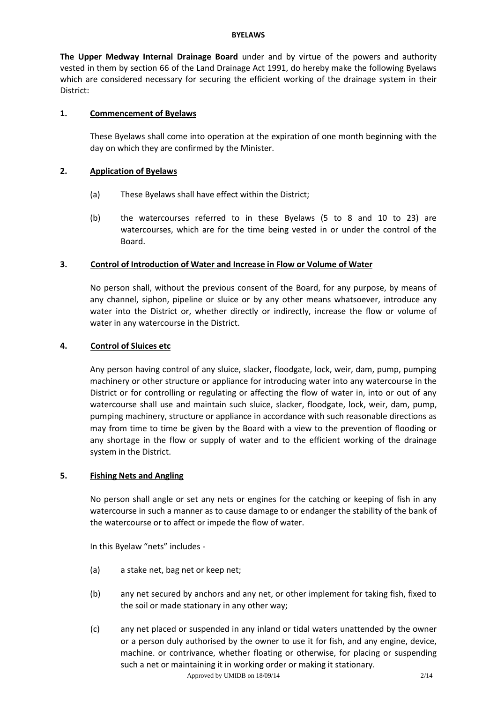#### **BYELAWS**

**The Upper Medway Internal Drainage Board** under and by virtue of the powers and authority vested in them by section 66 of the Land Drainage Act 1991, do hereby make the following Byelaws which are considered necessary for securing the efficient working of the drainage system in their District:

### **1. Commencement of Byelaws**

These Byelaws shall come into operation at the expiration of one month beginning with the day on which they are confirmed by the Minister.

### **2. Application of Byelaws**

- (a) These Byelaws shall have effect within the District;
- (b) the watercourses referred to in these Byelaws (5 to 8 and 10 to 23) are watercourses, which are for the time being vested in or under the control of the Board.

### **3. Control of Introduction of Water and Increase in Flow or Volume of Water**

No person shall, without the previous consent of the Board, for any purpose, by means of any channel, siphon, pipeline or sluice or by any other means whatsoever, introduce any water into the District or, whether directly or indirectly, increase the flow or volume of water in any watercourse in the District.

### **4. Control of Sluices etc**

Any person having control of any sluice, slacker, floodgate, lock, weir, dam, pump, pumping machinery or other structure or appliance for introducing water into any watercourse in the District or for controlling or regulating or affecting the flow of water in, into or out of any watercourse shall use and maintain such sluice, slacker, floodgate, lock, weir, dam, pump, pumping machinery, structure or appliance in accordance with such reasonable directions as may from time to time be given by the Board with a view to the prevention of flooding or any shortage in the flow or supply of water and to the efficient working of the drainage system in the District.

# **5. Fishing Nets and Angling**

No person shall angle or set any nets or engines for the catching or keeping of fish in any watercourse in such a manner as to cause damage to or endanger the stability of the bank of the watercourse or to affect or impede the flow of water.

In this Byelaw "nets" includes -

- (a) a stake net, bag net or keep net;
- (b) any net secured by anchors and any net, or other implement for taking fish, fixed to the soil or made stationary in any other way;
- (c) any net placed or suspended in any inland or tidal waters unattended by the owner or a person duly authorised by the owner to use it for fish, and any engine, device, machine. or contrivance, whether floating or otherwise, for placing or suspending such a net or maintaining it in working order or making it stationary.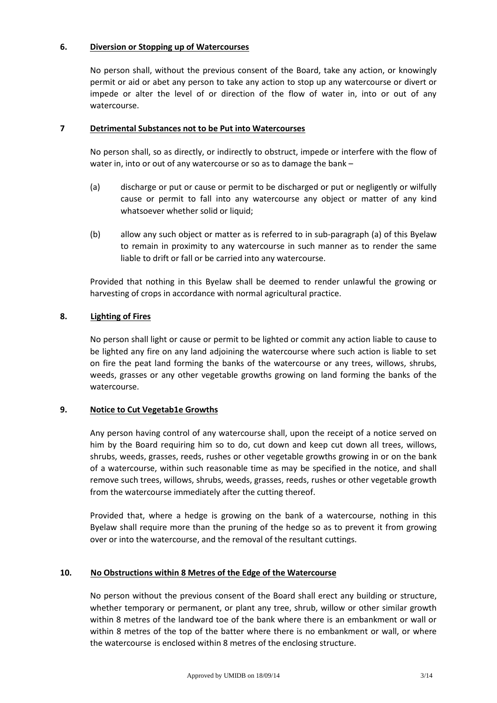### **6. Diversion or Stopping up of Watercourses**

No person shall, without the previous consent of the Board, take any action, or knowingly permit or aid or abet any person to take any action to stop up any watercourse or divert or impede or alter the level of or direction of the flow of water in, into or out of any watercourse.

### **7 Detrimental Substances not to be Put into Watercourses**

No person shall, so as directly, or indirectly to obstruct, impede or interfere with the flow of water in, into or out of any watercourse or so as to damage the bank –

- (a) discharge or put or cause or permit to be discharged or put or negligently or wilfully cause or permit to fall into any watercourse any object or matter of any kind whatsoever whether solid or liquid;
- (b) allow any such object or matter as is referred to in sub-paragraph (a) of this Byelaw to remain in proximity to any watercourse in such manner as to render the same liable to drift or fall or be carried into any watercourse.

Provided that nothing in this Byelaw shall be deemed to render unlawful the growing or harvesting of crops in accordance with normal agricultural practice.

# **8. Lighting of Fires**

No person shall light or cause or permit to be lighted or commit any action liable to cause to be lighted any fire on any land adjoining the watercourse where such action is liable to set on fire the peat land forming the banks of the watercourse or any trees, willows, shrubs, weeds, grasses or any other vegetable growths growing on land forming the banks of the watercourse.

### **9. Notice to Cut Vegetab1e Growths**

Any person having control of any watercourse shall, upon the receipt of a notice served on him by the Board requiring him so to do, cut down and keep cut down all trees, willows, shrubs, weeds, grasses, reeds, rushes or other vegetable growths growing in or on the bank of a watercourse, within such reasonable time as may be specified in the notice, and shall remove such trees, willows, shrubs, weeds, grasses, reeds, rushes or other vegetable growth from the watercourse immediately after the cutting thereof.

Provided that, where a hedge is growing on the bank of a watercourse, nothing in this Byelaw shall require more than the pruning of the hedge so as to prevent it from growing over or into the watercourse, and the removal of the resultant cuttings.

### **10. No Obstructions within 8 Metres of the Edge of the Watercourse**

No person without the previous consent of the Board shall erect any building or structure, whether temporary or permanent, or plant any tree, shrub, willow or other similar growth within 8 metres of the landward toe of the bank where there is an embankment or wall or within 8 metres of the top of the batter where there is no embankment or wall, or where the watercourse is enclosed within 8 metres of the enclosing structure.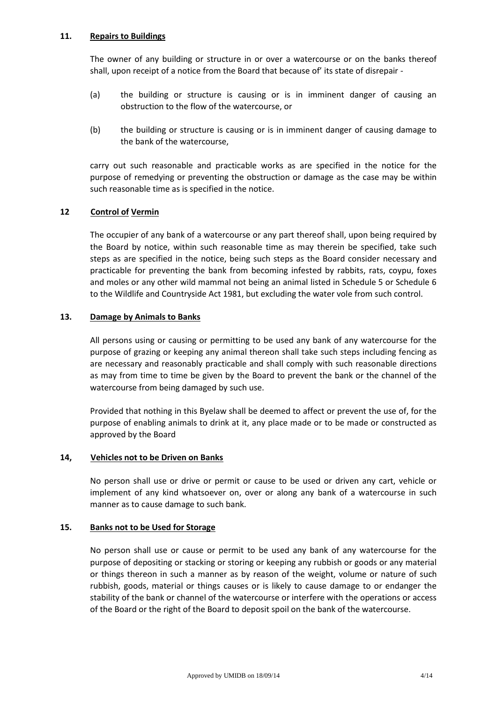### **11. Repairs to Buildings**

The owner of any building or structure in or over a watercourse or on the banks thereof shall, upon receipt of a notice from the Board that because of' its state of disrepair -

- (a) the building or structure is causing or is in imminent danger of causing an obstruction to the flow of the watercourse, or
- (b) the building or structure is causing or is in imminent danger of causing damage to the bank of the watercourse,

carry out such reasonable and practicable works as are specified in the notice for the purpose of remedying or preventing the obstruction or damage as the case may be within such reasonable time as is specified in the notice.

### **12 Control of Vermin**

The occupier of any bank of a watercourse or any part thereof shall, upon being required by the Board by notice, within such reasonable time as may therein be specified, take such steps as are specified in the notice, being such steps as the Board consider necessary and practicable for preventing the bank from becoming infested by rabbits, rats, coypu, foxes and moles or any other wild mammal not being an animal listed in Schedule 5 or Schedule 6 to the Wildlife and Countryside Act 1981, but excluding the water vole from such control.

### **13. Damage by Animals to Banks**

All persons using or causing or permitting to be used any bank of any watercourse for the purpose of grazing or keeping any animal thereon shall take such steps including fencing as are necessary and reasonably practicable and shall comply with such reasonable directions as may from time to time be given by the Board to prevent the bank or the channel of the watercourse from being damaged by such use.

Provided that nothing in this Byelaw shall be deemed to affect or prevent the use of, for the purpose of enabling animals to drink at it, any place made or to be made or constructed as approved by the Board

### **14, Vehicles not to be Driven on Banks**

No person shall use or drive or permit or cause to be used or driven any cart, vehicle or implement of any kind whatsoever on, over or along any bank of a watercourse in such manner as to cause damage to such bank.

### **15. Banks not to be Used for Storage**

No person shall use or cause or permit to be used any bank of any watercourse for the purpose of depositing or stacking or storing or keeping any rubbish or goods or any material or things thereon in such a manner as by reason of the weight, volume or nature of such rubbish, goods, material or things causes or is likely to cause damage to or endanger the stability of the bank or channel of the watercourse or interfere with the operations or access of the Board or the right of the Board to deposit spoil on the bank of the watercourse.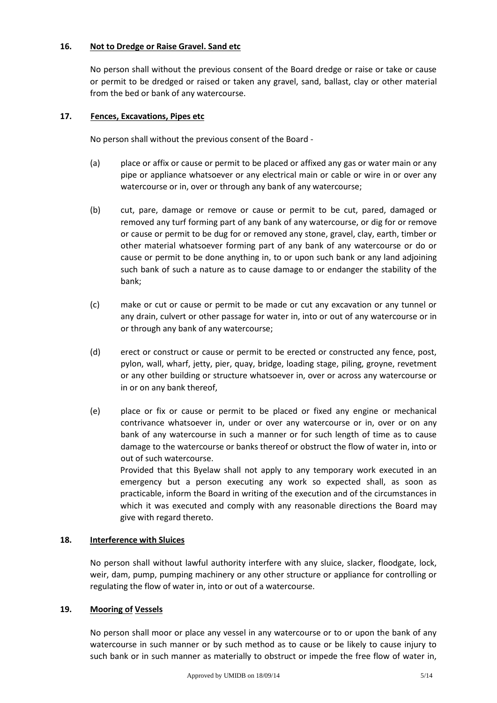### **16. Not to Dredge or Raise Gravel. Sand etc**

No person shall without the previous consent of the Board dredge or raise or take or cause or permit to be dredged or raised or taken any gravel, sand, ballast, clay or other material from the bed or bank of any watercourse.

# **17. Fences, Excavations, Pipes etc**

No person shall without the previous consent of the Board -

- (a) place or affix or cause or permit to be placed or affixed any gas or water main or any pipe or appliance whatsoever or any electrical main or cable or wire in or over any watercourse or in, over or through any bank of any watercourse;
- (b) cut, pare, damage or remove or cause or permit to be cut, pared, damaged or removed any turf forming part of any bank of any watercourse, or dig for or remove or cause or permit to be dug for or removed any stone, gravel, clay, earth, timber or other material whatsoever forming part of any bank of any watercourse or do or cause or permit to be done anything in, to or upon such bank or any land adjoining such bank of such a nature as to cause damage to or endanger the stability of the bank;
- (c) make or cut or cause or permit to be made or cut any excavation or any tunnel or any drain, culvert or other passage for water in, into or out of any watercourse or in or through any bank of any watercourse;
- (d) erect or construct or cause or permit to be erected or constructed any fence, post, pylon, wall, wharf, jetty, pier, quay, bridge, loading stage, piling, groyne, revetment or any other building or structure whatsoever in, over or across any watercourse or in or on any bank thereof,
- (e) place or fix or cause or permit to be placed or fixed any engine or mechanical contrivance whatsoever in, under or over any watercourse or in, over or on any bank of any watercourse in such a manner or for such length of time as to cause damage to the watercourse or banks thereof or obstruct the flow of water in, into or out of such watercourse. Provided that this Byelaw shall not apply to any temporary work executed in an

emergency but a person executing any work so expected shall, as soon as practicable, inform the Board in writing of the execution and of the circumstances in which it was executed and comply with any reasonable directions the Board may give with regard thereto.

# **18. Interference with Sluices**

No person shall without lawful authority interfere with any sluice, slacker, floodgate, lock, weir, dam, pump, pumping machinery or any other structure or appliance for controlling or regulating the flow of water in, into or out of a watercourse.

# **19. Mooring of Vessels**

No person shall moor or place any vessel in any watercourse or to or upon the bank of any watercourse in such manner or by such method as to cause or be likely to cause injury to such bank or in such manner as materially to obstruct or impede the free flow of water in,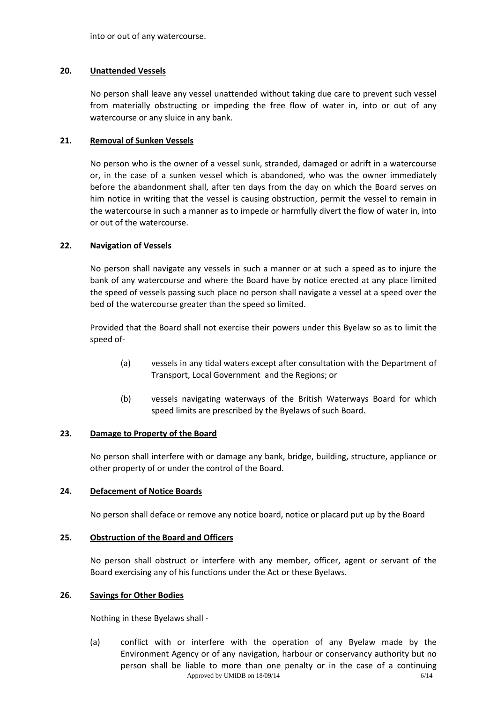into or out of any watercourse.

### **20. Unattended Vessels**

No person shall leave any vessel unattended without taking due care to prevent such vessel from materially obstructing or impeding the free flow of water in, into or out of any watercourse or any sluice in any bank.

### **21. Removal of Sunken Vessels**

No person who is the owner of a vessel sunk, stranded, damaged or adrift in a watercourse or, in the case of a sunken vessel which is abandoned, who was the owner immediately before the abandonment shall, after ten days from the day on which the Board serves on him notice in writing that the vessel is causing obstruction, permit the vessel to remain in the watercourse in such a manner as to impede or harmfully divert the flow of water in, into or out of the watercourse.

### **22. Navigation of Vessels**

No person shall navigate any vessels in such a manner or at such a speed as to injure the bank of any watercourse and where the Board have by notice erected at any place limited the speed of vessels passing such place no person shall navigate a vessel at a speed over the bed of the watercourse greater than the speed so limited.

Provided that the Board shall not exercise their powers under this Byelaw so as to limit the speed of-

- (a) vessels in any tidal waters except after consultation with the Department of Transport, Local Government and the Regions; or
- (b) vessels navigating waterways of the British Waterways Board for which speed limits are prescribed by the Byelaws of such Board.

### **23. Damage to Property of the Board**

No person shall interfere with or damage any bank, bridge, building, structure, appliance or other property of or under the control of the Board.

### **24. Defacement of Notice Boards**

No person shall deface or remove any notice board, notice or placard put up by the Board

### **25. Obstruction of the Board and Officers**

No person shall obstruct or interfere with any member, officer, agent or servant of the Board exercising any of his functions under the Act or these Byelaws.

### **26. Savings for Other Bodies**

Nothing in these Byelaws shall -

Approved by UMIDB on  $18/09/14$  6/14 (a) conflict with or interfere with the operation of any Byelaw made by the Environment Agency or of any navigation, harbour or conservancy authority but no person shall be liable to more than one penalty or in the case of a continuing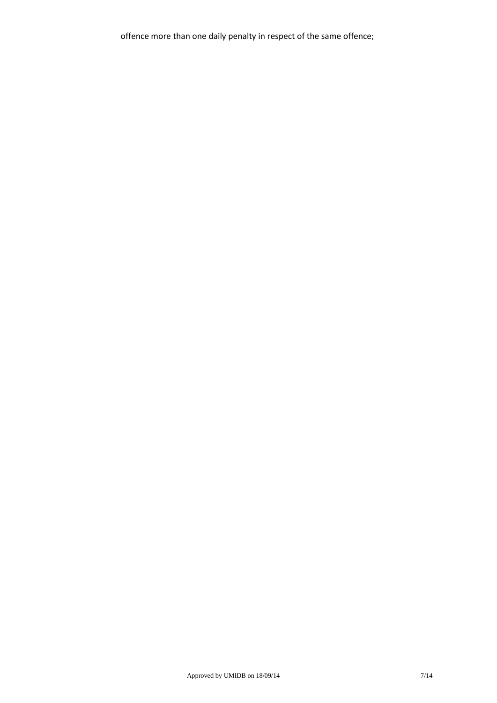offence more than one daily penalty in respect of the same offence;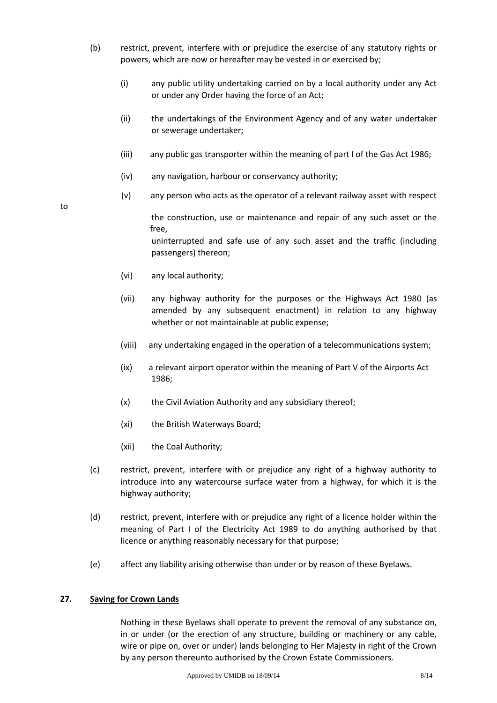- (b) restrict, prevent, interfere with or prejudice the exercise of any statutory rights or powers, which are now or hereafter may be vested in or exercised by;
	- (i) any public utility undertaking carried on by a local authority under any Act or under any Order having the force of an Act;
	- (ii) the undertakings of the Environment Agency and of any water undertaker or sewerage undertaker;
	- (iii) any public gas transporter within the meaning of part I of the Gas Act 1986;
	- (iv) any navigation, harbour or conservancy authority;
	- (v) any person who acts as the operator of a relevant railway asset with respect

the construction, use or maintenance and repair of any such asset or the free,

uninterrupted and safe use of any such asset and the traffic (including passengers) thereon;

(vi) any local authority;

to

- (vii) any highway authority for the purposes or the Highways Act 1980 (as amended by any subsequent enactment) in relation to any highway whether or not maintainable at public expense;
- (viii) any undertaking engaged in the operation of a telecommunications system;
- (ix) a relevant airport operator within the meaning of Part V of the Airports Act 1986;
- (x) the Civil Aviation Authority and any subsidiary thereof;
- (xi) the British Waterways Board;
- (xii) the Coal Authority;
- (c) restrict, prevent, interfere with or prejudice any right of a highway authority to introduce into any watercourse surface water from a highway, for which it is the highway authority;
- (d) restrict, prevent, interfere with or prejudice any right of a licence holder within the meaning of Part I of the Electricity Act 1989 to do anything authorised by that licence or anything reasonably necessary for that purpose;
- (e) affect any liability arising otherwise than under or by reason of these Byelaws.

### **27. Saving for Crown Lands**

Nothing in these Byelaws shall operate to prevent the removal of any substance on, in or under (or the erection of any structure, building or machinery or any cable, wire or pipe on, over or under) lands belonging to Her Majesty in right of the Crown by any person thereunto authorised by the Crown Estate Commissioners.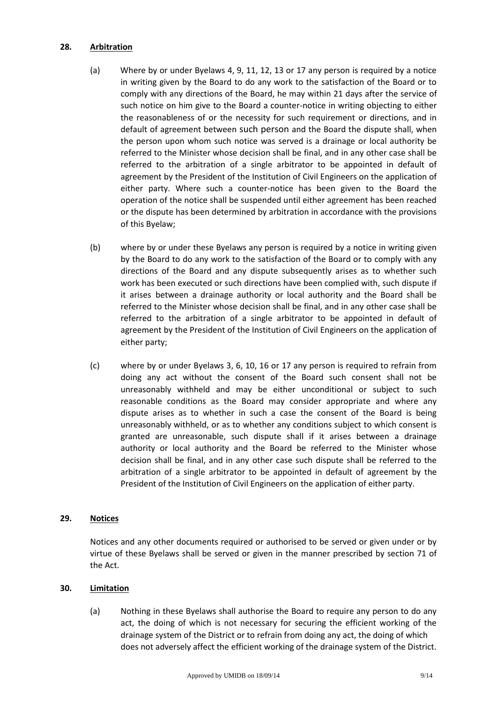#### **28. Arbitration**

- (a) Where by or under Byelaws 4, 9, 11, 12, 13 or 17 any person is required by a notice in writing given by the Board to do any work to the satisfaction of the Board or to comply with any directions of the Board, he may within 21 days after the service of such notice on him give to the Board a counter-notice in writing objecting to either the reasonableness of or the necessity for such requirement or directions, and in default of agreement between such person and the Board the dispute shall, when the person upon whom such notice was served is a drainage or local authority be referred to the Minister whose decision shall be final, and in any other case shall be referred to the arbitration of a single arbitrator to be appointed in default of agreement by the President of the Institution of Civil Engineers on the application of either party. Where such a counter-notice has been given to the Board the operation of the notice shall be suspended until either agreement has been reached or the dispute has been determined by arbitration in accordance with the provisions of this Byelaw;
- (b) where by or under these Byelaws any person is required by a notice in writing given by the Board to do any work to the satisfaction of the Board or to comply with any directions of the Board and any dispute subsequently arises as to whether such work has been executed or such directions have been complied with, such dispute if it arises between a drainage authority or local authority and the Board shall be referred to the Minister whose decision shall be final, and in any other case shall be referred to the arbitration of a single arbitrator to be appointed in default of agreement by the President of the Institution of Civil Engineers on the application of either party;
- (c) where by or under Byelaws 3, 6, 10, 16 or 17 any person is required to refrain from doing any act without the consent of the Board such consent shall not be unreasonably withheld and may be either unconditional or subject to such reasonable conditions as the Board may consider appropriate and where any dispute arises as to whether in such a case the consent of the Board is being unreasonably withheld, or as to whether any conditions subject to which consent is granted are unreasonable, such dispute shall if it arises between a drainage authority or local authority and the Board be referred to the Minister whose decision shall be final, and in any other case such dispute shall be referred to the arbitration of a single arbitrator to be appointed in default of agreement by the President of the Institution of Civil Engineers on the application of either party.

### **29. Notices**

Notices and any other documents required or authorised to be served or given under or by virtue of these Byelaws shall be served or given in the manner prescribed by section 71 of the Act.

### **30. Limitation**

(a) Nothing in these Byelaws shall authorise the Board to require any person to do any act, the doing of which is not necessary for securing the efficient working of the drainage system of the District or to refrain from doing any act, the doing of which does not adversely affect the efficient working of the drainage system of the District.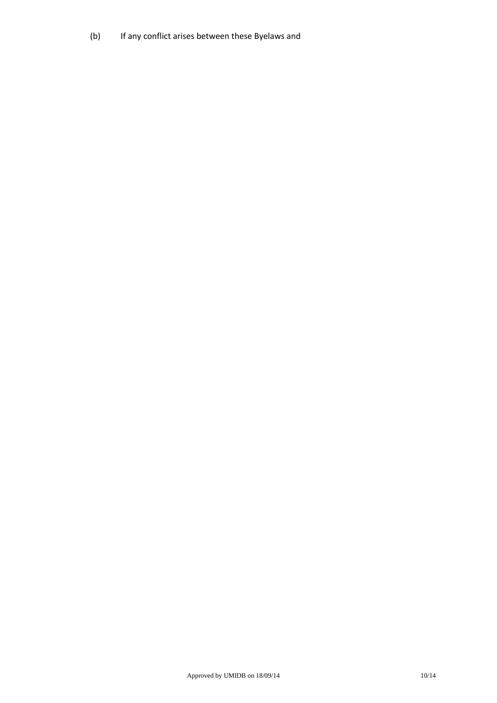(b) If any conflict arises between these Byelaws and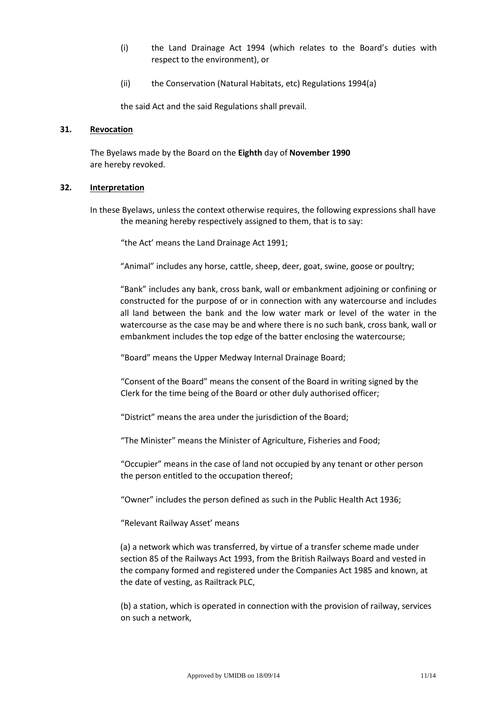- (i) the Land Drainage Act 1994 (which relates to the Board's duties with respect to the environment), or
- (ii) the Conservation (Natural Habitats, etc) Regulations 1994(a)

the said Act and the said Regulations shall prevail.

#### **31. Revocation**

The Byelaws made by the Board on the **Eighth** day of **November 1990** are hereby revoked.

#### **32. Interpretation**

In these Byelaws, unless the context otherwise requires, the following expressions shall have the meaning hereby respectively assigned to them, that is to say:

"the Act' means the Land Drainage Act 1991;

"Animal" includes any horse, cattle, sheep, deer, goat, swine, goose or poultry;

"Bank" includes any bank, cross bank, wall or embankment adjoining or confining or constructed for the purpose of or in connection with any watercourse and includes all land between the bank and the low water mark or level of the water in the watercourse as the case may be and where there is no such bank, cross bank, wall or embankment includes the top edge of the batter enclosing the watercourse;

"Board" means the Upper Medway Internal Drainage Board;

"Consent of the Board" means the consent of the Board in writing signed by the Clerk for the time being of the Board or other duly authorised officer;

"District" means the area under the jurisdiction of the Board;

"The Minister" means the Minister of Agriculture, Fisheries and Food;

"Occupier" means in the case of land not occupied by any tenant or other person the person entitled to the occupation thereof;

"Owner" includes the person defined as such in the Public Health Act 1936;

"Relevant Railway Asset' means

(a) a network which was transferred, by virtue of a transfer scheme made under section 85 of the Railways Act 1993, from the British Railways Board and vested in the company formed and registered under the Companies Act 1985 and known, at the date of vesting, as Railtrack PLC,

(b) a station, which is operated in connection with the provision of railway, services on such a network,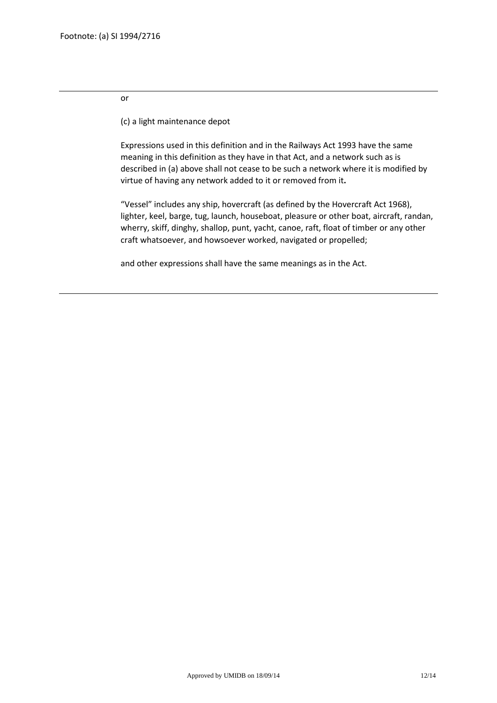#### or

(c) a light maintenance depot

Expressions used in this definition and in the Railways Act 1993 have the same meaning in this definition as they have in that Act, and a network such as is described in (a) above shall not cease to be such a network where it is modified by virtue of having any network added to it or removed from it**.**

"Vessel" includes any ship, hovercraft (as defined by the Hovercraft Act 1968), lighter, keel, barge, tug, launch, houseboat, pleasure or other boat, aircraft, randan, wherry, skiff, dinghy, shallop, punt, yacht, canoe, raft, float of timber or any other craft whatsoever, and howsoever worked, navigated or propelled;

and other expressions shall have the same meanings as in the Act.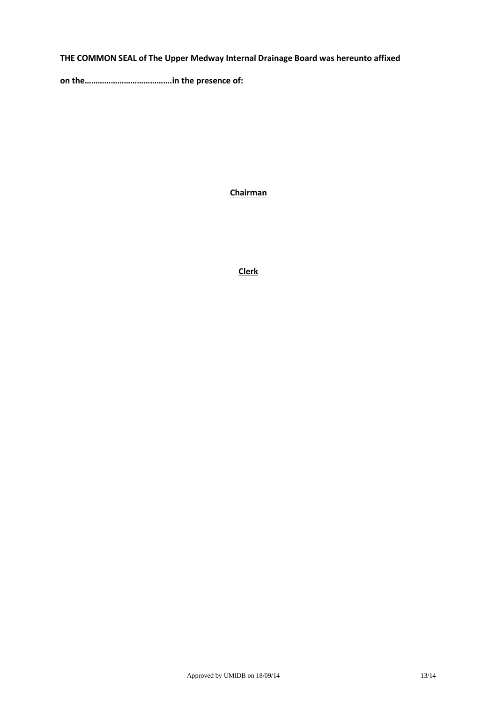# **THE COMMON SEAL of The Upper Medway Internal Drainage Board was hereunto affixed**

**on the………………………………….in the presence of:**

**Chairman**

**Clerk**